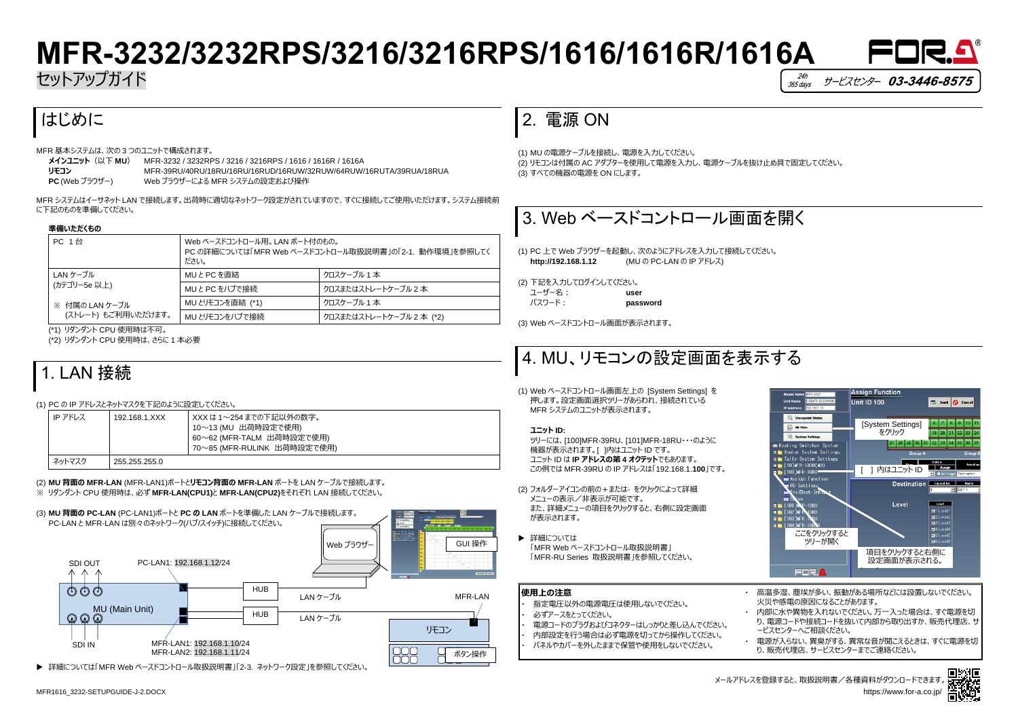



# **MFR-3232/3232RPS/3216/3216RPS/1616/1616R/1616A**

セットアップガイド

# はじめに

MFR 基本システムは、次の 3 つのユニットで構成されます。

| メインユニット (以下 MU)  | MFR-3232 / 3232RPS / 3216 / 3216RPS / 1616 / 1616R / 1616A         |
|------------------|--------------------------------------------------------------------|
| リモコン             | MFR-39RU/40RU/18RU/16RU/16RUD/16RUW/32RUW/64RUW/16RUTA/39RUA/18RUA |
| $PC$ (Web ブラウザー) | Web ブラウザーによる MFR システムの設定および操作                                      |

MFR システムはイーサネット LAN で接続します。出荷時に適切なネットワーク設定がされていますので、すぐに接続してご使用いただけます。システム接続前 に下記のものを準備してください。

### **準備いただくもの**

| <b>PC 1台</b>        | Web ベースドコントロール用。 LAN ポート付のもの。<br>PC の詳細については「MFR Web ベースドコントロール取扱説明書」の「2-1. 動作環境」を参照してく<br>ださい。 |                         |
|---------------------|-------------------------------------------------------------------------------------------------|-------------------------|
| LAN ケーブル            | MUとPCを直結                                                                                        | クロスケーブル 1 本             |
| (カテゴリー5e 以上)        | MUとPCをハブで接続                                                                                     | クロスまたはストレートケーブル 2本      |
| ※ 付属の LAN ケーブル      | MU とリモコンを直結 (*1)                                                                                | クロスケーブル 1 本             |
| (ストレート) もご利用いただけます。 | MU とリモコンをハブで接続                                                                                  | クロスまたはストレートケーブル 2本 (*2) |

(\*1) リダンダント CPU 使用時は不可。

(\*2) リダンダント CPU 使用時は、さらに 1 本必要

# 1. LAN 接続

### (1) PC の IP アドレスとネットマスクを下記のように設定してください。

| IP アドレス | 192.168.1.XXX | - XXX は 1〜254 までの下記以外の数字。<br>10~13(MU 出荷時設定で使用)<br>- 60〜62 (MFR-TALM 出荷時設定で使用)<br>70~85 (MFR-RULINK 出荷時設定で使用) |
|---------|---------------|---------------------------------------------------------------------------------------------------------------|
| ネットマスク  | 255.255.255.0 |                                                                                                               |

▶ 詳細については 「MFR Web ベースドコントロール取扱説明書」 「MFR-RU Series 取扱説明書」を参照してください。

(2) **MU 背面の MFR-LAN** (MFR-LAN1)ポートと**リモコン背面の MFR-LAN** ポートを LAN ケーブルで接続します。 ※ リダンダント CPU 使用時は、必ず **MFR-LAN(CPU1)**と **MFR-LAN(CPU2)**をそれぞれ LAN 接続してください。

> 多湿、塵埃が多い、振動がある場所などには設置しないでください。 火災や感電の原因になることがあります。

3に水や異物を入れないでください。万一入った場合は、すぐ電源を切 り、電源コードや接続コードを抜いて内部から取り出すか、販売代理店、サ ービスセンターへご相談ください。

# 2. 電源 ON

(1) MU の電源ケーブルを接続し、電源を入力してください。 (2) リモコンは付属の AC アダプターを使用して電源を入力し、電源ケーブルを抜け止め具で固定してください。 (3) すべての機器の電源を ON にします。

# 3. Web ベースドコントロール画面を開く

(1) PC 上で Web ブラウザーを起動し、次のようにアドレスを入力して接続してください。 **http://192.168.1.12** (MU の PC-LAN の IP アドレス)

(2) 下記を入力してログインしてください。 ユーザー名: **user** パスワード: **password**

(3) Web ベースドコントロール画面が表示されます。

# 4. MU、リモコンの設定画面を表示する

(1) Web ベースドコントロール画面左上の [System Settings] を 押します。設定画面選択ツリーがあらわれ、接続されている MFR システムのユニットが表示されます。

## **ユニット ID:**

ツリーには、[100]MFR-39RU、[101]MFR-18RU・・・のように 機器が表示されます。[ ]内はユニット ID です。 ユニット ID は **IP アドレスの第 4 オクテット**でもあります。 この例では MFR-39RU の IP アドレスは「192.168.1.**100**」です。



**▶ 詳細については「MFR Web ベースドコントロール取扱説明書」「2-3. ネットワーク設定」を参照してください。** 

(2) フォルダーアイコンの前の+または- をクリックによって詳細 メニューの表示/非表示が可能です。 また、詳細メニューの項目をクリックすると、右側に設定画面 が表示されます。

| AN | 使用上の注意                                                                                                                                           | 高温                                  |
|----|--------------------------------------------------------------------------------------------------------------------------------------------------|-------------------------------------|
| 作  | 指定電圧以外の電源電圧は使用しないでください。<br>必ずアースをとってください。<br>電源コードのプラグおよびコネクターはしっかりと差し込んでください。<br>内部設定を行う場合は必ず電源を切ってから操作してください。<br>パネルやカバーを外したままで保管や使用をしないでください。 | 火災<br>内部<br>り、雷<br>ードス<br>電源<br>り、販 |

・ 電源が入らない、異臭がする、異常な音が聞こえるときは、すぐに電源を切 り、販売代理店、サービスセンターまでご連絡ください。



メールアドレスを登録すると、取扱説明書/各種資料がダウンロードできます。 https://www.for-a.co.jp/